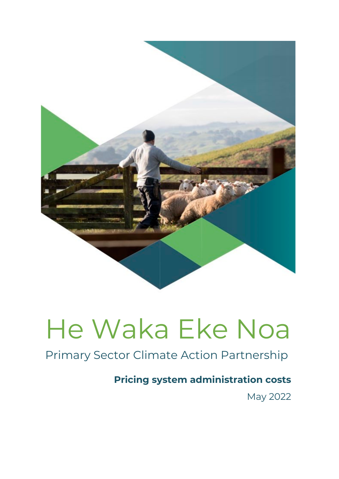

# Primary Sector Climate Action Partnership

# **Pricing system administration costs**

May 2022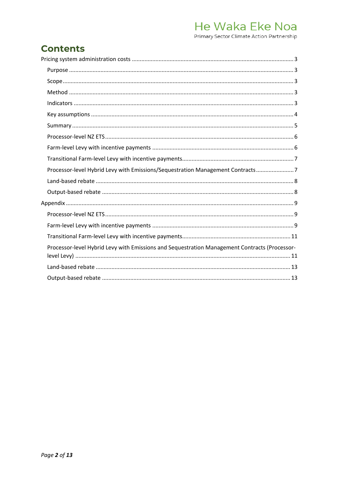Primary Sector Climate Action Partnership

## **Contents**

| Processor-level Hybrid Levy with Emissions/Sequestration Management Contracts7                |
|-----------------------------------------------------------------------------------------------|
|                                                                                               |
|                                                                                               |
|                                                                                               |
|                                                                                               |
|                                                                                               |
|                                                                                               |
| Processor-level Hybrid Levy with Emissions and Sequestration Management Contracts (Processor- |
|                                                                                               |
|                                                                                               |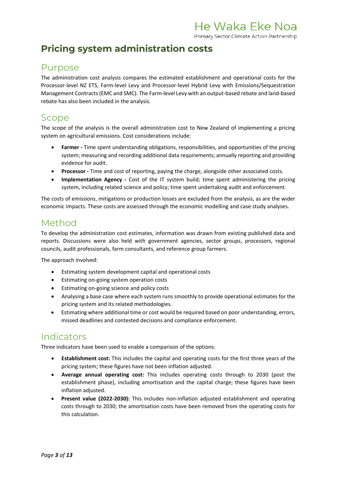Primary Sector Climate Action Partnership

# <span id="page-2-0"></span>**Pricing system administration costs**

### <span id="page-2-1"></span>Purpose

The administration cost analysis compares the estimated establishment and operational costs for the Processor-level NZ ETS, Farm-level Levy and Processor-level Hybrid Levy with Emissions/Sequestration Management Contracts(EMC and SMC). The Farm-level Levy with an output-based rebate and land-based rebate has also been included in the analysis*.*

#### <span id="page-2-2"></span>Scope

The scope of the analysis is the overall administration cost to New Zealand of implementing a pricing system on agricultural emissions. Cost considerations include:

- **Farmer -** Time spent understanding obligations, responsibilities, and opportunities of the pricing system; measuring and recording additional data requirements; annually reporting and providing evidence for audit.
- **Processor -** Time and cost of reporting, paying the charge, alongside other associated costs.
- **Implementation Agency -** Cost of the IT system build; time spent administering the pricing system, including related science and policy; time spent undertaking audit and enforcement.

The costs of emissions, mitigations or production losses are excluded from the analysis, as are the wider economic impacts. These costs are assessed through the economic modelling and case study analyses.

#### <span id="page-2-3"></span>Method

To develop the administration cost estimates, information was drawn from existing published data and reports. Discussions were also held with government agencies, sector groups, processors, regional councils, audit professionals, farm consultants, and reference group farmers.

The approach involved:

- Estimating system development capital and operational costs
- Estimating on-going system operation costs
- Estimating on-going science and policy costs
- Analysing a base case where each system runs smoothly to provide operational estimates for the pricing system and its related methodologies.
- Estimating where additional time or cost would be required based on poor understanding, errors, missed deadlines and contested decisions and compliance enforcement.

#### <span id="page-2-4"></span>Indicators

Three indicators have been used to enable a comparison of the options:

- **Establishment cost:** This includes the capital and operating costs for the first three years of the pricing system; these figures have not been inflation adjusted.
- **Average annual operating cost:** This includes operating costs through to 2030 (post the establishment phase), including amortisation and the capital charge; these figures have been inflation adjusted.
- **Present value (2022-2030):** This includes non-inflation adjusted establishment and operating costs through to 2030; the amortisation costs have been removed from the operating costs for this calculation.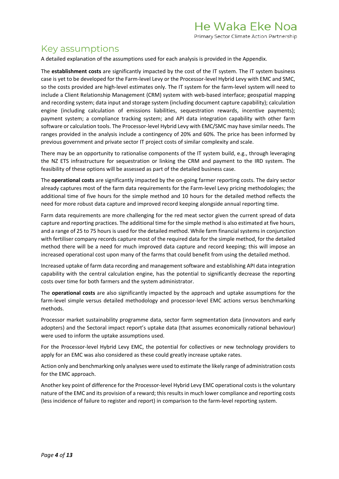#### <span id="page-3-0"></span>Key assumptions

A detailed explanation of the assumptions used for each analysis is provided in the Appendix.

The **establishment costs** are significantly impacted by the cost of the IT system. The IT system business case is yet to be developed for the Farm-level Levy or the Processor-level Hybrid Levy with EMC and SMC, so the costs provided are high-level estimates only. The IT system for the farm-level system will need to include a Client Relationship Management (CRM) system with web-based interface; geospatial mapping and recording system; data input and storage system (including document capture capability); calculation engine (including calculation of emissions liabilities, sequestration rewards, incentive payments); payment system; a compliance tracking system; and API data integration capability with other farm software or calculation tools. The Processor-level Hybrid Levy with EMC/SMC may have similar needs. The ranges provided in the analysis include a contingency of 20% and 60%. The price has been informed by previous government and private sector IT project costs of similar complexity and scale.

There may be an opportunity to rationalise components of the IT system build, e.g., through leveraging the NZ ETS infrastructure for sequestration or linking the CRM and payment to the IRD system. The feasibility of these options will be assessed as part of the detailed business case.

The **operational costs** are significantly impacted by the on-going farmer reporting costs. The dairy sector already captures most of the farm data requirements for the Farm-level Levy pricing methodologies; the additional time of five hours for the simple method and 10 hours for the detailed method reflects the need for more robust data capture and improved record keeping alongside annual reporting time.

Farm data requirements are more challenging for the red meat sector given the current spread of data capture and reporting practices. The additional time for the simple method is also estimated at five hours, and a range of 25 to 75 hours is used for the detailed method. While farm financial systems in conjunction with fertiliser company records capture most of the required data for the simple method, for the detailed method there will be a need for much improved data capture and record keeping; this will impose an increased operational cost upon many of the farms that could benefit from using the detailed method.

Increased uptake of farm data recording and management software and establishing API data integration capability with the central calculation engine, has the potential to significantly decrease the reporting costs over time for both farmers and the system administrator.

The **operational costs** are also significantly impacted by the approach and uptake assumptions for the farm-level simple versus detailed methodology and processor-level EMC actions versus benchmarking methods.

Processor market sustainability programme data, sector farm segmentation data (innovators and early adopters) and the Sectoral impact report's uptake data (that assumes economically rational behaviour) were used to inform the uptake assumptions used.

For the Processor-level Hybrid Levy EMC, the potential for collectives or new technology providers to apply for an EMC was also considered as these could greatly increase uptake rates.

Action only and benchmarking only analyses were used to estimate the likely range of administration costs for the EMC approach.

Another key point of difference for the Processor-level Hybrid Levy EMC operational costs is the voluntary nature of the EMC and its provision of a reward; this results in much lower compliance and reporting costs (less incidence of failure to register and report) in comparison to the farm-level reporting system.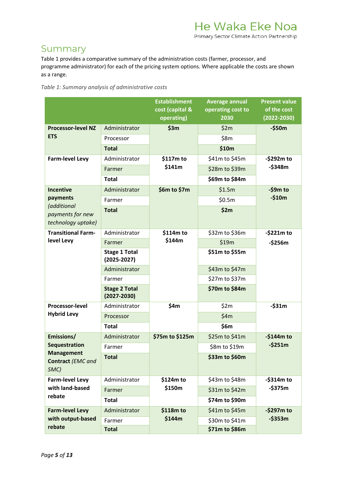#### <span id="page-4-0"></span>Summary

Table 1 provides a comparative summary of the administration costs (farmer, processor, and programme administrator) for each of the pricing system options. Where applicable the costs are shown as a range.

| Table 1: Summary analysis of administrative costs |  |  |  |
|---------------------------------------------------|--|--|--|
|---------------------------------------------------|--|--|--|

|                                                       |                                         | <b>Establishment</b><br>cost (capital &<br>operating) | <b>Average annual</b><br>operating cost to<br>2030 | <b>Present value</b><br>of the cost<br>$(2022 - 2030)$ |
|-------------------------------------------------------|-----------------------------------------|-------------------------------------------------------|----------------------------------------------------|--------------------------------------------------------|
| <b>Processor-level NZ</b>                             | Administrator                           | \$3m                                                  | \$2m                                               | $-$ \$50 $m$                                           |
| <b>ETS</b>                                            | Processor                               |                                                       | \$8m                                               |                                                        |
|                                                       | <b>Total</b>                            |                                                       | \$10m                                              |                                                        |
| <b>Farm-level Levy</b>                                | Administrator                           | \$117m to                                             | \$41m to \$45m                                     | -\$292m to                                             |
|                                                       | Farmer                                  | \$141m                                                | \$28m to \$39m                                     | $-5348m$                                               |
|                                                       | <b>Total</b>                            |                                                       | \$69m to \$84m                                     |                                                        |
| <b>Incentive</b>                                      | Administrator                           | \$6m to \$7m                                          | \$1.5m                                             | $-59m$ to                                              |
| payments                                              | Farmer                                  |                                                       | \$0.5m                                             | $-$10m$                                                |
| (additional<br>payments for new<br>technology uptake) | <b>Total</b>                            |                                                       | \$2m                                               |                                                        |
| <b>Transitional Farm-</b>                             | Administrator                           | \$114m to                                             | \$32m to \$36m                                     | $-5221m$ to                                            |
| level Levy                                            | Farmer                                  | \$144m                                                | \$19m                                              | $-$ \$256 $m$                                          |
|                                                       | <b>Stage 1 Total</b><br>$(2025 - 2027)$ |                                                       | \$51m to \$55m                                     |                                                        |
|                                                       | Administrator                           |                                                       | \$43m to \$47m                                     |                                                        |
|                                                       | Farmer                                  |                                                       | \$27m to \$37m                                     |                                                        |
|                                                       | <b>Stage 2 Total</b><br>$(2027 - 2030)$ |                                                       | \$70m to \$84m                                     |                                                        |
| Processor-level                                       | Administrator                           | \$4m                                                  | \$2m                                               | $-531m$                                                |
| <b>Hybrid Levy</b>                                    | Processor                               |                                                       | \$4m                                               |                                                        |
|                                                       | <b>Total</b>                            |                                                       | \$6m                                               |                                                        |
| Emissions/                                            | Administrator                           | \$75m to \$125m                                       | \$25m to \$41m                                     | $-$144m to$                                            |
| <b>Sequestration</b>                                  | Farmer                                  |                                                       | \$8m to \$19m                                      | $-5251m$                                               |
| <b>Management</b><br>Contract (EMC and<br>SMC)        | <b>Total</b>                            |                                                       | \$33m to \$60m                                     |                                                        |
| <b>Farm-level Levy</b>                                | Administrator                           | \$124m to                                             | \$43m to \$48m                                     | $-$ \$314 $m$ to                                       |
| with land-based                                       | Farmer                                  | \$150m                                                | \$31m to \$42m                                     | $-5375m$                                               |
| rebate                                                | <b>Total</b>                            |                                                       | \$74m to \$90m                                     |                                                        |
| <b>Farm-level Levy</b>                                | Administrator                           | \$118m to                                             | \$41m to \$45m                                     | $-$ \$297 $m$ to                                       |
| with output-based                                     | Farmer                                  | \$144m                                                | \$30m to \$41m                                     | $-5353m$                                               |
| rebate                                                | <b>Total</b>                            |                                                       | \$71m to \$86m                                     |                                                        |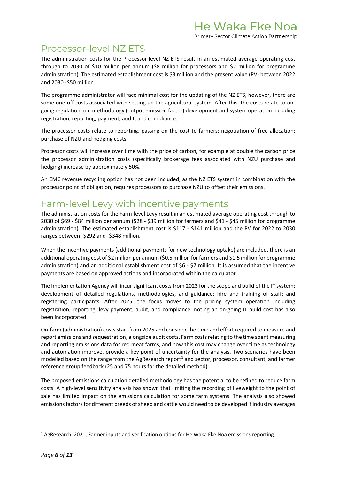## <span id="page-5-0"></span>Processor-level NZ ETS

The administration costs for the Processor-level NZ ETS result in an estimated average operating cost through to 2030 of \$10 million per annum (\$8 million for processors and \$2 million for programme administration). The estimated establishment cost is \$3 million and the present value (PV) between 2022 and 2030 -\$50 million.

The programme administrator will face minimal cost for the updating of the NZ ETS, however, there are some one-off costs associated with setting up the agricultural system. After this, the costs relate to ongoing regulation and methodology (output emission factor) development and system operation including registration, reporting, payment, audit, and compliance.

The processor costs relate to reporting, passing on the cost to farmers; negotiation of free allocation; purchase of NZU and hedging costs.

Processor costs will increase over time with the price of carbon, for example at double the carbon price the processor administration costs (specifically brokerage fees associated with NZU purchase and hedging) increase by approximately 50%.

An EMC revenue recycling option has not been included, as the NZ ETS system in combination with the processor point of obligation, requires processors to purchase NZU to offset their emissions.

## <span id="page-5-1"></span>Farm-level Levy with incentive payments

The administration costs for the Farm-level Levy result in an estimated average operating cost through to 2030 of \$69 - \$84 million per annum (\$28 - \$39 million for farmers and \$41 - \$45 million for programme administration). The estimated establishment cost is \$117 - \$141 million and the PV for 2022 to 2030 ranges between -\$292 and -\$348 million.

When the incentive payments (additional payments for new technology uptake) are included, there is an additional operating cost of \$2 million per annum (\$0.5 million for farmers and \$1.5 million for programme administration) and an additional establishment cost of \$6 - \$7 million. It is assumed that the incentive payments are based on approved actions and incorporated within the calculator.

The Implementation Agency will incur significant costs from 2023 for the scope and build of the IT system; development of detailed regulations, methodologies, and guidance; hire and training of staff; and registering participants. After 2025, the focus moves to the pricing system operation including registration, reporting, levy payment, audit, and compliance; noting an on-going IT build cost has also been incorporated.

On-farm (administration) costs start from 2025 and consider the time and effort required to measure and report emissions and sequestration, alongside audit costs. Farm costs relating to the time spent measuring and reporting emissions data for red meat farms, and how this cost may change over time as technology and automation improve, provide a key point of uncertainty for the analysis. Two scenarios have been modelled based on the range from the AgResearch report<sup>1</sup> and sector, processor, consultant, and farmer reference group feedback (25 and 75 hours for the detailed method).

The proposed emissions calculation detailed methodology has the potential to be refined to reduce farm costs. A high-level sensitivity analysis has shown that limiting the recording of liveweight to the point of sale has limited impact on the emissions calculation for some farm systems. The analysis also showed emissions factors for different breeds of sheep and cattle would need to be developed if industry averages

<span id="page-5-2"></span> $1$  AgResearch, 2021, Farmer inputs and verification options for He Waka Eke Noa emissions reporting.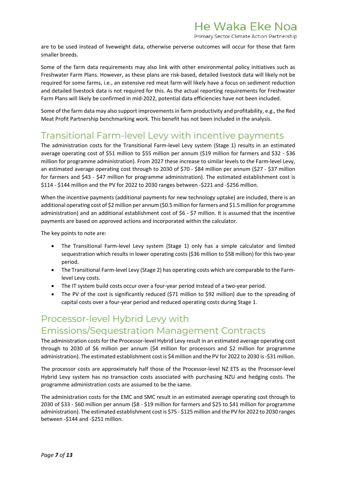Primary Sector Climate Action Partnership

are to be used instead of liveweight data, otherwise perverse outcomes will occur for those that farm smaller breeds.

Some of the farm data requirements may also link with other environmental policy initiatives such as Freshwater Farm Plans. However, as these plans are risk-based, detailed livestock data will likely not be required for some farms, i.e., an extensive red meat farm will likely have a focus on sediment reduction and detailed livestock data is not required for this. As the actual reporting requirements for Freshwater Farm Plans will likely be confirmed in mid-2022, potential data efficiencies have not been included.

Some of the farm data may also support improvements in farm productivity and profitability, e.g., the Red Meat Profit Partnership benchmarking work. This benefit has not been included in the analysis.

#### <span id="page-6-0"></span>Transitional Farm-level Levy with incentive payments

The administration costs for the Transitional Farm-level Levy system (Stage 1) results in an estimated average operating cost of \$51 million to \$55 million per annum (\$19 million for farmers and \$32 - \$36 million for programme administration). From 2027 these increase to similar levels to the Farm-level Levy, an estimated average operating cost through to 2030 of \$70 - \$84 million per annum (\$27 - \$37 million for farmers and \$43 - \$47 million for programme administration). The estimated establishment cost is \$114 - \$144 million and the PV for 2022 to 2030 ranges between -\$221 and -\$256 million.

When the incentive payments (additional payments for new technology uptake) are included, there is an additional operating cost of \$2 million per annum (\$0.5 million for farmers and \$1.5 million for programme administration) and an additional establishment cost of \$6 - \$7 million. It is assumed that the incentive payments are based on approved actions and incorporated within the calculator.

The key points to note are:

- The Transitional Farm-level Levy system (Stage 1) only has a simple calculator and limited sequestration which results in lower operating costs (\$36 million to \$58 million) for this two-year period.
- The Transitional Farm-level Levy (Stage 2) has operating costs which are comparable to the Farmlevel Levy costs.
- The IT system build costs occur over a four-year period instead of a two-year period.
- The PV of the cost is significantly reduced (\$71 million to \$92 million) due to the spreading of capital costs over a four-year period and reduced operating costs during Stage 1.

# <span id="page-6-1"></span>Processor-level Hybrid Levy with Emissions/Sequestration Management Contracts

The administration costs for the Processor-level Hybrid Levy result in an estimated average operating cost through to 2030 of \$6 million per annum (\$4 million for processors and \$2 million for programme administration). The estimated establishment cost is \$4 million and the PV for 2022 to 2030 is -\$31 million.

The processor costs are approximately half those of the Processor-level NZ ETS as the Processor-level Hybrid Levy system has no transaction costs associated with purchasing NZU and hedging costs. The programme administration costs are assumed to be the same.

The administration costs for the EMC and SMC result in an estimated average operating cost through to 2030 of \$33 - \$60 million per annum (\$8 - \$19 million for farmers and \$25 to \$41 million for programme administration). The estimated establishment cost is \$75 - \$125 million and the PV for 2022 to 2030 ranges between -\$144 and -\$251 million.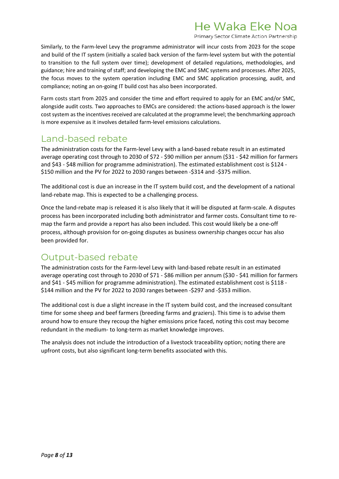Primary Sector Climate Action Partnership

Similarly, to the Farm-level Levy the programme administrator will incur costs from 2023 for the scope and build of the IT system (initially a scaled back version of the farm-level system but with the potential to transition to the full system over time); development of detailed regulations, methodologies, and guidance; hire and training of staff; and developing the EMC and SMC systems and processes. After 2025, the focus moves to the system operation including EMC and SMC application processing, audit, and compliance; noting an on-going IT build cost has also been incorporated.

Farm costs start from 2025 and consider the time and effort required to apply for an EMC and/or SMC, alongside audit costs. Two approaches to EMCs are considered: the actions-based approach is the lower cost system as the incentives received are calculated at the programme level; the benchmarking approach is more expensive as it involves detailed farm-level emissions calculations.

# <span id="page-7-0"></span>Land-based rebate

The administration costs for the Farm-level Levy with a land-based rebate result in an estimated average operating cost through to 2030 of \$72 - \$90 million per annum (\$31 - \$42 million for farmers and \$43 - \$48 million for programme administration). The estimated establishment cost is \$124 - \$150 million and the PV for 2022 to 2030 ranges between -\$314 and -\$375 million.

The additional cost is due an increase in the IT system build cost, and the development of a national land-rebate map. This is expected to be a challenging process.

Once the land-rebate map is released it is also likely that it will be disputed at farm-scale. A disputes process has been incorporated including both administrator and farmer costs. Consultant time to remap the farm and provide a report has also been included. This cost would likely be a one-off process, although provision for on-going disputes as business ownership changes occur has also been provided for.

## <span id="page-7-1"></span>Output-based rebate

The administration costs for the Farm-level Levy with land-based rebate result in an estimated average operating cost through to 2030 of \$71 - \$86 million per annum (\$30 - \$41 million for farmers and \$41 - \$45 million for programme administration). The estimated establishment cost is \$118 - \$144 million and the PV for 2022 to 2030 ranges between -\$297 and -\$353 million.

The additional cost is due a slight increase in the IT system build cost, and the increased consultant time for some sheep and beef farmers (breeding farms and graziers). This time is to advise them around how to ensure they recoup the higher emissions price faced, noting this cost may become redundant in the medium- to long-term as market knowledge improves.

The analysis does not include the introduction of a livestock traceability option; noting there are upfront costs, but also significant long-term benefits associated with this.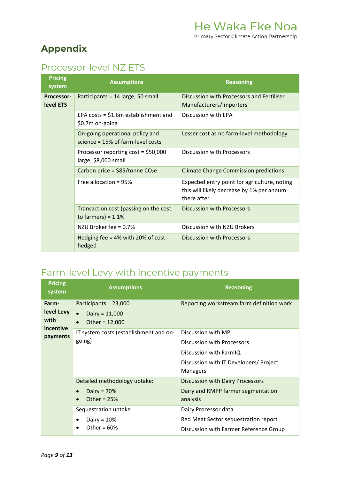# <span id="page-8-0"></span>**Appendix**

# <span id="page-8-1"></span>Processor-level NZ ETS

| <b>Pricing</b><br>system | <b>Assumptions</b>                                                      | <b>Reasoning</b>                                                                                         |
|--------------------------|-------------------------------------------------------------------------|----------------------------------------------------------------------------------------------------------|
| Processor-<br>level ETS  | Participants = 14 large; 50 small                                       | Discussion with Processors and Fertiliser<br>Manufacturers/Importers                                     |
|                          | EPA costs = $$1.6m$ establishment and<br>\$0.7m on-going                | Discussion with EPA                                                                                      |
|                          | On-going operational policy and<br>science = $15\%$ of farm-level costs | Lesser cost as no farm-level methodology                                                                 |
|                          | Processor reporting $cost = $50,000$<br>large; \$8,000 small            | Discussion with Processors                                                                               |
|                          | Carbon price = $$85/tonne CO2e$                                         | <b>Climate Change Commission predictions</b>                                                             |
|                          | Free allocation = 95%                                                   | Expected entry point for agriculture, noting<br>this will likely decrease by 1% per annum<br>there after |
|                          | Transaction cost (passing on the cost<br>to farmers) = $1.1\%$          | Discussion with Processors                                                                               |
|                          | NZU Broker fee = 0.7%                                                   | Discussion with NZU Brokers                                                                              |
|                          | Hedging fee = $4\%$ with 20% of cost<br>hedged                          | Discussion with Processors                                                                               |

# <span id="page-8-2"></span>Farm-level Levy with incentive payments

| <b>Pricing</b><br>system    | <b>Assumptions</b>                                                                      | <b>Reasoning</b>                                                                                                      |
|-----------------------------|-----------------------------------------------------------------------------------------|-----------------------------------------------------------------------------------------------------------------------|
| Farm-<br>level Levy<br>with | Participants = 23,000<br>Dairy = $11,000$<br>$\bullet$<br>Other = $12,000$<br>$\bullet$ | Reporting workstream farm definition work                                                                             |
| incentive<br>payments       | IT system costs (establishment and on-<br>going)                                        | Discussion with MPI<br>Discussion with Processors<br>Discussion with FarmIQ<br>Discussion with IT Developers/ Project |
|                             | Detailed methodology uptake:                                                            | Managers<br><b>Discussion with Dairy Processors</b>                                                                   |
|                             | Dairy = $70%$<br>$\bullet$<br>Other = $25%$<br>$\bullet$                                | Dairy and RMPP farmer segmentation<br>analysis                                                                        |
|                             | Sequestration uptake<br>Dairy = $10%$<br>$\bullet$<br>Other = $60%$<br>$\bullet$        | Dairy Processor data<br>Red Meat Sector sequestration report<br>Discussion with Farmer Reference Group                |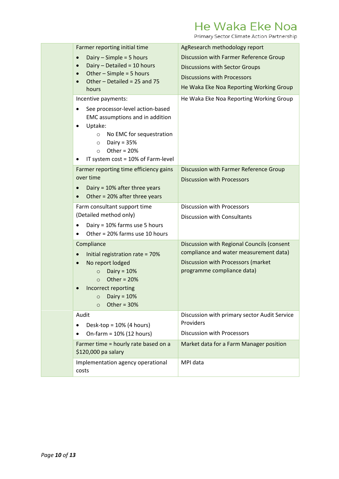Primary Sector Climate Action Partnership

| Farmer reporting initial time                                                                                                                                                                                                                                         | AgResearch methodology report                                                                                                                                    |
|-----------------------------------------------------------------------------------------------------------------------------------------------------------------------------------------------------------------------------------------------------------------------|------------------------------------------------------------------------------------------------------------------------------------------------------------------|
| Dairy $-$ Simple = 5 hours<br>$\bullet$<br>Dairy $-$ Detailed = 10 hours<br>$\bullet$<br>Other $-$ Simple = 5 hours<br>$\bullet$<br>Other - Detailed = 25 and 75<br>$\bullet$<br>hours                                                                                | Discussion with Farmer Reference Group<br><b>Discussions with Sector Groups</b><br><b>Discussions with Processors</b><br>He Waka Eke Noa Reporting Working Group |
| Incentive payments:<br>See processor-level action-based<br>$\bullet$<br>EMC assumptions and in addition<br>Uptake:<br>$\bullet$<br>No EMC for sequestration<br>$\circ$<br>Dairy = $35%$<br>$\circ$<br>Other = $20%$<br>$\Omega$<br>IT system cost = 10% of Farm-level | He Waka Eke Noa Reporting Working Group                                                                                                                          |
| Farmer reporting time efficiency gains<br>over time<br>Dairy = 10% after three years<br>$\bullet$<br>Other = 20% after three years<br>$\bullet$                                                                                                                       | Discussion with Farmer Reference Group<br><b>Discussion with Processors</b>                                                                                      |
| Farm consultant support time<br>(Detailed method only)<br>Dairy = 10% farms use 5 hours<br>$\bullet$<br>Other = 20% farms use 10 hours                                                                                                                                | <b>Discussion with Processors</b><br>Discussion with Consultants                                                                                                 |
| Compliance<br>Initial registration rate = 70%<br>No report lodged<br>$\bullet$<br>Dairy = $10%$<br>$\circ$<br>Other = $20%$<br>$\Omega$<br>Incorrect reporting<br>$\circ$ Dairy = 10%<br>Other = $30%$<br>$\circ$                                                     | Discussion with Regional Councils (consent<br>compliance and water measurement data)<br>Discussion with Processors (market<br>programme compliance data)         |
| Audit<br>Desk-top = $10%$ (4 hours)<br>٠<br>On-farm = 10% (12 hours)                                                                                                                                                                                                  | Discussion with primary sector Audit Service<br>Providers<br><b>Discussion with Processors</b>                                                                   |
| Farmer time = hourly rate based on a<br>\$120,000 pa salary                                                                                                                                                                                                           | Market data for a Farm Manager position                                                                                                                          |
| Implementation agency operational<br>costs                                                                                                                                                                                                                            | MPI data                                                                                                                                                         |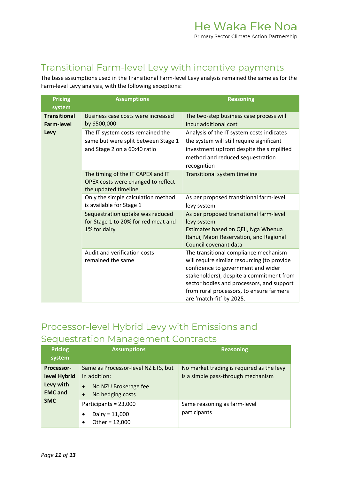## <span id="page-10-0"></span>Transitional Farm-level Levy with incentive payments

The base assumptions used in the Transitional Farm-level Levy analysis remained the same as for the Farm-level Levy analysis, with the following exceptions:

| <b>Pricing</b><br>system                 | <b>Assumptions</b>                                                                                      | <b>Reasoning</b>                                                                                                                                                                                                                                                                            |
|------------------------------------------|---------------------------------------------------------------------------------------------------------|---------------------------------------------------------------------------------------------------------------------------------------------------------------------------------------------------------------------------------------------------------------------------------------------|
| <b>Transitional</b><br><b>Farm-level</b> | Business case costs were increased<br>by \$500,000                                                      | The two-step business case process will<br>incur additional cost                                                                                                                                                                                                                            |
| Levy                                     | The IT system costs remained the<br>same but were split between Stage 1<br>and Stage 2 on a 60:40 ratio | Analysis of the IT system costs indicates<br>the system will still require significant<br>investment upfront despite the simplified<br>method and reduced sequestration<br>recognition                                                                                                      |
|                                          | The timing of the IT CAPEX and IT<br>OPEX costs were changed to reflect<br>the updated timeline         | <b>Transitional system timeline</b>                                                                                                                                                                                                                                                         |
|                                          | Only the simple calculation method<br>is available for Stage 1                                          | As per proposed transitional farm-level<br>levy system                                                                                                                                                                                                                                      |
|                                          | Sequestration uptake was reduced<br>for Stage 1 to 20% for red meat and<br>1% for dairy                 | As per proposed transitional farm-level<br>levy system<br>Estimates based on QEII, Nga Whenua<br>Rahui, Māori Reservation, and Regional<br>Council covenant data                                                                                                                            |
|                                          | Audit and verification costs<br>remained the same                                                       | The transitional compliance mechanism<br>will require similar resourcing (to provide<br>confidence to government and wider<br>stakeholders), despite a commitment from<br>sector bodies and processors, and support<br>from rural processors, to ensure farmers<br>are 'match-fit' by 2025. |

# <span id="page-10-1"></span>Processor-level Hybrid Levy with Emissions and Sequestration Management Contracts

| <b>Pricing</b><br>system                                  | <b>Assumptions</b>                                                                                                        | <b>Reasoning</b>                                                                |
|-----------------------------------------------------------|---------------------------------------------------------------------------------------------------------------------------|---------------------------------------------------------------------------------|
| Processor-<br>level Hybrid<br>Levy with<br><b>EMC</b> and | Same as Processor-level NZ ETS, but<br>in addition:<br>No NZU Brokerage fee<br>$\bullet$<br>No hedging costs<br>$\bullet$ | No market trading is required as the levy<br>is a simple pass-through mechanism |
| <b>SMC</b>                                                | Participants = 23,000<br>Dairy = $11,000$<br>Other = $12,000$<br>$\bullet$                                                | Same reasoning as farm-level<br>participants                                    |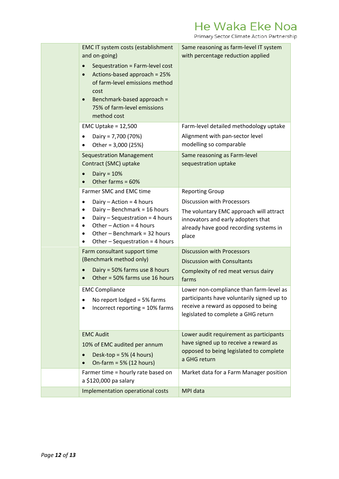Primary Sector Climate Action Partnership

| EMC IT system costs (establishment<br>and on-going)<br>Sequestration = Farm-level cost<br>$\bullet$<br>Actions-based approach = 25%<br>$\bullet$<br>of farm-level emissions method<br>cost<br>Benchmark-based approach =<br>$\bullet$<br>75% of farm-level emissions<br>method cost | Same reasoning as farm-level IT system<br>with percentage reduction applied                                                                                                                                                                              |
|-------------------------------------------------------------------------------------------------------------------------------------------------------------------------------------------------------------------------------------------------------------------------------------|----------------------------------------------------------------------------------------------------------------------------------------------------------------------------------------------------------------------------------------------------------|
| EMC Uptake = $12,500$<br>Dairy = 7,700 (70%)<br>$\bullet$<br>Other = 3,000 (25%)                                                                                                                                                                                                    | Farm-level detailed methodology uptake<br>Alignment with pan-sector level<br>modelling so comparable                                                                                                                                                     |
| <b>Sequestration Management</b><br>Contract (SMC) uptake<br>Dairy = $10%$<br>Other farms = 60%                                                                                                                                                                                      | Same reasoning as Farm-level<br>sequestration uptake                                                                                                                                                                                                     |
| Farmer SMC and EMC time<br>Dairy - Action = 4 hours<br>$\bullet$<br>Dairy - Benchmark = 16 hours<br>٠<br>Dairy - Sequestration = 4 hours<br>Other $-$ Action = 4 hours<br>٠<br>Other - Benchmark = 32 hours<br>٠<br>Other $-$ Sequestration = 4 hours                               | <b>Reporting Group</b><br>Discussion with Processors<br>The voluntary EMC approach will attract<br>innovators and early adopters that<br>already have good recording systems in<br>place                                                                 |
| Farm consultant support time<br>(Benchmark method only)<br>Dairy = 50% farms use 8 hours<br>Other = 50% farms use 16 hours<br><b>EMC Compliance</b><br>No report lodged = 5% farms                                                                                                  | <b>Discussion with Processors</b><br><b>Discussion with Consultants</b><br>Complexity of red meat versus dairy<br>farms<br>Lower non-compliance than farm-level as<br>participants have voluntarily signed up to<br>receive a reward as opposed to being |
| Incorrect reporting = 10% farms<br><b>EMC Audit</b><br>10% of EMC audited per annum<br>Desk-top = $5\%$ (4 hours)<br>On-farm = $5\%$ (12 hours)                                                                                                                                     | legislated to complete a GHG return<br>Lower audit requirement as participants<br>have signed up to receive a reward as<br>opposed to being legislated to complete<br>a GHG return                                                                       |
| Farmer time = hourly rate based on<br>a \$120,000 pa salary                                                                                                                                                                                                                         | Market data for a Farm Manager position                                                                                                                                                                                                                  |
| Implementation operational costs                                                                                                                                                                                                                                                    | MPI data                                                                                                                                                                                                                                                 |